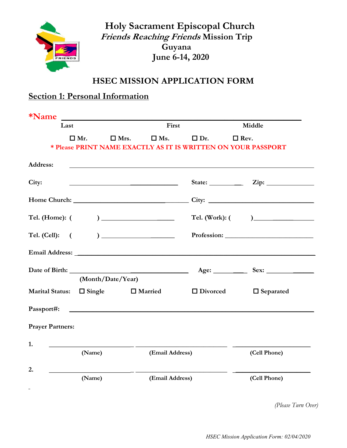

 Holy Sacrament Episcopal Church Friends Reaching Friends Mission Trip Guyana June 6-14, 2020

## HSEC MISSION APPLICATION FORM

# Section 1: Personal Information

| *Name                         |            | <u> 1980 - Johann Barn, mars ann an t-Alban ann an t-Alban ann an t-Alban ann an t-Alban ann an t-Alban ann an t-</u> |                                       |                 |                                                                                                                                                                                                                                |
|-------------------------------|------------|-----------------------------------------------------------------------------------------------------------------------|---------------------------------------|-----------------|--------------------------------------------------------------------------------------------------------------------------------------------------------------------------------------------------------------------------------|
| Last                          |            |                                                                                                                       | First                                 |                 | Middle                                                                                                                                                                                                                         |
|                               | $\Box$ Mr. | $\Box$ Mrs.                                                                                                           | $\square$ Ms.                         | $\Box$ Dr.      | $\Box$ Rev.                                                                                                                                                                                                                    |
|                               |            |                                                                                                                       |                                       |                 | * Please PRINT NAME EXACTLY AS IT IS WRITTEN ON YOUR PASSPORT                                                                                                                                                                  |
| Address:                      |            |                                                                                                                       |                                       |                 |                                                                                                                                                                                                                                |
| City:                         |            |                                                                                                                       |                                       |                 | State: $\qquad \qquad \text{Zip:}$                                                                                                                                                                                             |
|                               |            |                                                                                                                       |                                       |                 |                                                                                                                                                                                                                                |
| Tel. (Home): (                |            |                                                                                                                       |                                       |                 |                                                                                                                                                                                                                                |
| Tel. (Cell): (                |            |                                                                                                                       | $\begin{array}{c} \hline \end{array}$ |                 |                                                                                                                                                                                                                                |
|                               |            |                                                                                                                       |                                       |                 | Email Address: Note of the Community of the Community of the Community of the Community of the Community of the Community of the Community of the Community of the Community of the Community of the Community of the Communit |
|                               |            |                                                                                                                       |                                       |                 |                                                                                                                                                                                                                                |
|                               |            | (Month/Date/Year)                                                                                                     |                                       |                 |                                                                                                                                                                                                                                |
| Marital Status: $\Box$ Single |            |                                                                                                                       | $\Box$ Married                        | $\Box$ Divorced | $\Box$ Separated                                                                                                                                                                                                               |
|                               |            |                                                                                                                       |                                       |                 |                                                                                                                                                                                                                                |
| <b>Prayer Partners:</b>       |            |                                                                                                                       |                                       |                 |                                                                                                                                                                                                                                |
| 1.                            |            | <u> 1980 - Jan Barbara Barbara, prima politik politik (</u>                                                           |                                       |                 |                                                                                                                                                                                                                                |
|                               | (Name)     |                                                                                                                       | (Email Address)                       |                 | (Cell Phone)                                                                                                                                                                                                                   |
| 2.                            | (Name)     |                                                                                                                       | (Email Address)                       |                 | (Cell Phone)                                                                                                                                                                                                                   |
|                               |            |                                                                                                                       |                                       |                 |                                                                                                                                                                                                                                |

(Please Turn Over)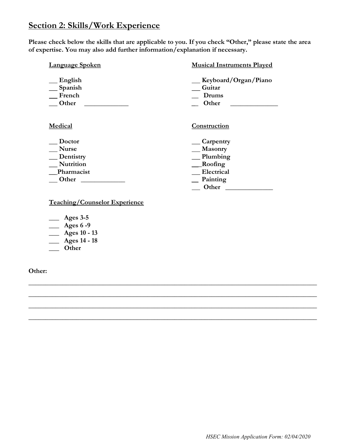### Section 2: Skills/Work Experience

Please check below the skills that are applicable to you. If you check "Other," please state the area of expertise. You may also add further information/explanation if necessary.

| <b>Language Spoken</b>                         | <b>Musical Instruments Played</b>                |
|------------------------------------------------|--------------------------------------------------|
| $\equiv$ English<br>Spanish<br>French<br>Other | Keyboard/Organ/Piano<br>Guitar<br>Drums<br>Other |
| Medical                                        | Construction                                     |
| Doctor                                         | $\equiv$ Carpentry                               |
| <b>Nurse</b>                                   | __ Masonry                                       |
| _Dentistry                                     | $\equiv$ Plumbing                                |
| <b>Nutrition</b>                               | __Roofing                                        |
| Pharmacist                                     | Electrical                                       |
| <b>Other</b>                                   | $\equiv$ Painting                                |
|                                                | Other                                            |

\_\_\_\_\_\_\_\_\_\_\_\_\_\_\_\_\_\_\_\_\_\_\_\_\_\_\_\_\_\_\_\_\_\_\_\_\_\_\_\_\_\_\_\_\_\_\_\_\_\_\_\_\_\_\_\_\_\_\_\_\_\_\_\_\_\_\_\_\_\_\_\_\_\_\_\_\_\_\_\_\_\_\_\_\_

\_\_\_\_\_\_\_\_\_\_\_\_\_\_\_\_\_\_\_\_\_\_\_\_\_\_\_\_\_\_\_\_\_\_\_\_\_\_\_\_\_\_\_\_\_\_\_\_\_\_\_\_\_\_\_\_\_\_\_\_\_\_\_\_\_\_\_\_\_\_\_\_\_\_\_\_\_\_\_\_\_\_\_\_\_

\_\_\_\_\_\_\_\_\_\_\_\_\_\_\_\_\_\_\_\_\_\_\_\_\_\_\_\_\_\_\_\_\_\_\_\_\_\_\_\_\_\_\_\_\_\_\_\_\_\_\_\_\_\_\_\_\_\_\_\_\_\_\_\_\_\_\_\_\_\_\_\_\_\_\_\_\_\_\_\_\_\_\_\_\_

\_\_\_\_\_\_\_\_\_\_\_\_\_\_\_\_\_\_\_\_\_\_\_\_\_\_\_\_\_\_\_\_\_\_\_\_\_\_\_\_\_\_\_\_\_\_\_\_\_\_\_\_\_\_\_\_\_\_\_\_\_\_\_\_\_\_\_\_\_\_\_\_\_\_\_\_\_\_\_\_\_\_\_\_\_

Teaching/Counselor Experience

- $\_\_\_\_\$  Ages 3-5
- $\overline{\phantom{a}}$  Ages 6 -9
- $\frac{\text{Z}}{\text{Z}}$  Ages 10 13
- \_\_\_ Ages 14 18
- \_\_\_ Other

Other: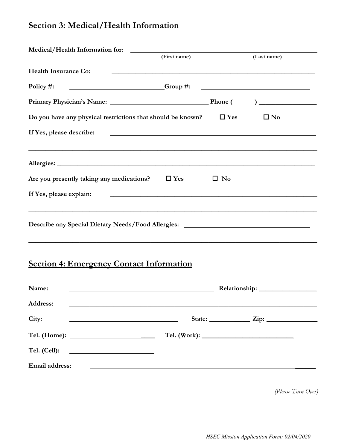# Section 3: Medical/Health Information

|                             |                                                                                                                                                                                                                                      | (First name)                                                                                                           |              | (Last name)                             |
|-----------------------------|--------------------------------------------------------------------------------------------------------------------------------------------------------------------------------------------------------------------------------------|------------------------------------------------------------------------------------------------------------------------|--------------|-----------------------------------------|
| <b>Health Insurance Co:</b> |                                                                                                                                                                                                                                      | <u> 1989 - Johann Stoff, amerikansk politiker (d. 1989)</u>                                                            |              |                                         |
|                             |                                                                                                                                                                                                                                      |                                                                                                                        |              |                                         |
|                             |                                                                                                                                                                                                                                      |                                                                                                                        |              |                                         |
|                             | Do you have any physical restrictions that should be known? $\Box$ Yes                                                                                                                                                               |                                                                                                                        |              | $\square$ No                            |
| If Yes, please describe:    |                                                                                                                                                                                                                                      | <u> 1989 - Johann Stoff, amerikansk politiker (* 1908)</u>                                                             |              |                                         |
|                             | ,我们也不会有什么。""我们的人,我们也不会有什么?""我们的人,我们也不会有什么?""我们的人,我们也不会有什么?""我们的人,我们也不会有什么?""我们的人                                                                                                                                                     |                                                                                                                        |              |                                         |
|                             | Are you presently taking any medications?                                                                                                                                                                                            | $\Box$ Yes                                                                                                             | $\square$ No |                                         |
| If Yes, please explain:     |                                                                                                                                                                                                                                      | <u> 1980 - Johann John Stoff, deutscher Stoffen und der Stoffen und der Stoffen und der Stoffen und der Stoffen un</u> |              |                                         |
|                             | Describe any Special Dietary Needs/Food Allergies: ______________________________                                                                                                                                                    |                                                                                                                        |              |                                         |
|                             | <b>Section 4: Emergency Contact Information</b>                                                                                                                                                                                      |                                                                                                                        |              |                                         |
| Name:                       | <u> 1989 - Johann Barbara, martxa alemaniar amerikan basar da da a shekara 1989 - Andrew Santan Barbara a shekara</u>                                                                                                                |                                                                                                                        |              |                                         |
| Address:                    |                                                                                                                                                                                                                                      |                                                                                                                        |              |                                         |
| City:                       | <u> 1980 - Johann Barn, mars an t-Amerikaansk politiker († 1908)</u>                                                                                                                                                                 |                                                                                                                        |              | State: $\frac{\text{Zip:}}{\text{Up:}}$ |
|                             |                                                                                                                                                                                                                                      |                                                                                                                        |              |                                         |
| Tel. (Cell):                | <u> 1989 - Johann Stoff, deutscher Stoffen und der Stoffen und der Stoffen und der Stoffen und der Stoffen und der Stoffen und der Stoffen und der Stoffen und der Stoffen und der Stoffen und der Stoffen und der Stoffen und d</u> |                                                                                                                        |              |                                         |
| Email address:              |                                                                                                                                                                                                                                      | <u> 1989 - Johann Johann Stoff, deutscher Stoff, der Stoff, der Stoff, der Stoff, der Stoff, der Stoff, der Stoff</u>  |              |                                         |

(Please Turn Over)